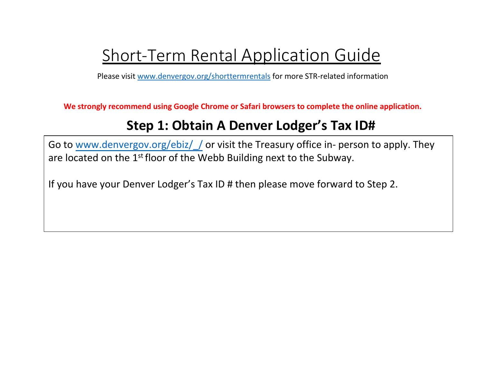# Short-Term Rental Application Guide

Please visit [www.denvergov.org/s](http://www.denvergov.org/str)[horttermrentals](http://www.denvergov.org/shorttermrentals) for more STR-related information

**We strongly recommend using Google Chrome or Safari browsers to complete the online application.**

# **Step 1: Obtain A Denver Lodger's Tax ID#**

Go to www.denvergov.org/ebiz/ / or visit the Treasury office in- person to apply. They are located on the 1<sup>st</sup> floor of the Webb Building next to the Subway.

If you have your Denver Lodger's Tax ID # then please move forward to Step 2.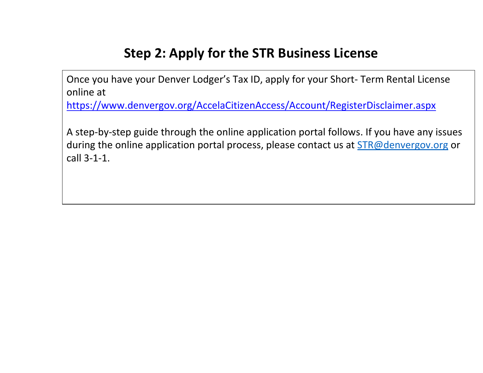# **Step 2: Apply for the STR Business License**

Once you have your Denver Lodger's Tax ID, apply for your Short- Term Rental License online at

<https://www.denvergov.org/AccelaCitizenAccess/Account/RegisterDisclaimer.aspx>

A step-by-step guide through the online application portal follows. If you have any issues during the online application portal process, please contact us at **STR@denvergov.org** or call 3-1-1.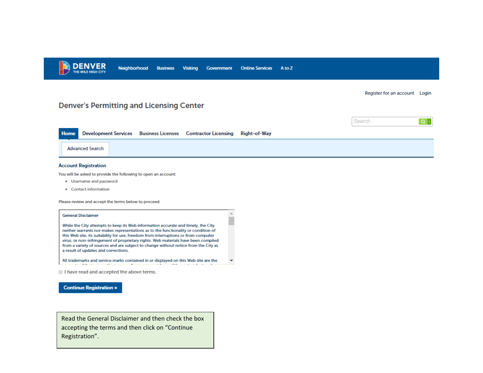

Register for an account Login

 $\circ$ .

Search...

# **Denver's Permitting and Licensing Center**

|                 |  | Home Development Services Business Licenses Contractor Licensing Right-of-Way |  |
|-----------------|--|-------------------------------------------------------------------------------|--|
| Advanced Search |  |                                                                               |  |

 $\Delta \omega$ 

٠

 $\overline{\mathbf{v}}$ 

A to Z

#### **Account Registration**

You will be asked to provide the following to open an account:

- . Username and password
- Contact information

Please review and accept the terms below to proceed.

#### **General Disclaimer**

While the City attempts to keep its Web information accurate and timely, the City neither warrants nor makes representations as to the functionality or condition of this Web site, its suitability for use, freedom from interruptions or from computer virus, or non-infringement of proprietary rights. Web materials have been compiled from a variety of sources and are subject to change without notice from the City as a result of updates and corrections.

All trademarks and service marks contained in or displayed on this Web site are the  $\sim$ 

I have read and accepted the above terms.

#### **Continue Registration »**

Read the General Disclaimer and then check the box accepting the terms and then click on "Continue Registration".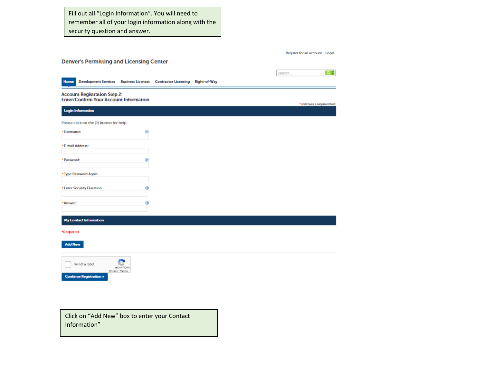Fill out all "Login Information". You will need to remember all of your login information along with the security question and answer.

|                |                                                                                      |                                     |                                                                          |  | Register for an account Login |            |
|----------------|--------------------------------------------------------------------------------------|-------------------------------------|--------------------------------------------------------------------------|--|-------------------------------|------------|
|                | <b>Denver's Permitting and Licensing Center</b>                                      |                                     |                                                                          |  |                               |            |
|                |                                                                                      |                                     |                                                                          |  | Search                        | $\alpha$ . |
| <b>Home</b>    |                                                                                      |                                     | Development Services Business Licenses Contractor Licensing Right-of-Way |  |                               |            |
|                | <b>Account Registration Step 2:</b><br><b>Enter/Confirm Your Account Information</b> |                                     |                                                                          |  | * Indicates a required field. |            |
|                | <b>Login Information</b>                                                             |                                     |                                                                          |  |                               |            |
|                | Please click on the (?) button for help.                                             |                                     |                                                                          |  |                               |            |
| *Username:     |                                                                                      | ◉                                   |                                                                          |  |                               |            |
|                | *E-mail Address:                                                                     |                                     |                                                                          |  |                               |            |
| * Password:    |                                                                                      | ◉                                   |                                                                          |  |                               |            |
|                | * Type Password Again:                                                               |                                     |                                                                          |  |                               |            |
|                | * Enter Security Question:                                                           | ◉                                   |                                                                          |  |                               |            |
| * Answer:      |                                                                                      | ◉                                   |                                                                          |  |                               |            |
|                | <b>My Contact Information</b>                                                        |                                     |                                                                          |  |                               |            |
| *Required      |                                                                                      |                                     |                                                                          |  |                               |            |
| <b>Add New</b> |                                                                                      |                                     |                                                                          |  |                               |            |
|                | I'm not a robot<br><b>Continue Registration »</b>                                    | <b>NECAPTOMA</b><br>Privacy - Terma |                                                                          |  |                               |            |
|                |                                                                                      |                                     |                                                                          |  |                               |            |
|                |                                                                                      |                                     |                                                                          |  |                               |            |

Click on "Add New" box to enter your Contact Information"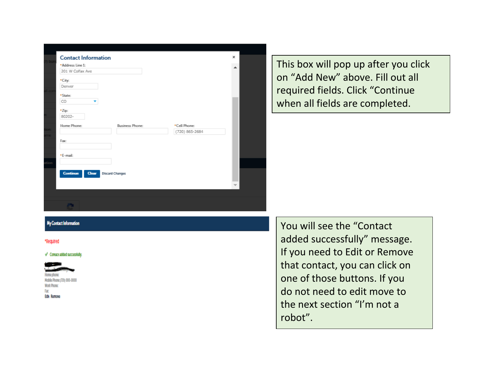|           | <b>Contact Information</b>                         |                        |                | × |  |
|-----------|----------------------------------------------------|------------------------|----------------|---|--|
| $(?)$ but | *Address Line 1:                                   |                        |                | ┻ |  |
|           | 201 W Colfax Ave                                   |                        |                |   |  |
|           | *City:                                             |                        |                |   |  |
|           | Denver                                             |                        |                |   |  |
| ail.cor   |                                                    |                        |                |   |  |
|           | *State:                                            |                        |                |   |  |
|           | CO<br>۰                                            |                        |                |   |  |
|           | *Zip:                                              |                        |                |   |  |
| m:        | 80202-                                             |                        |                |   |  |
|           | Home Phone:                                        | <b>Business Phone:</b> | *Cell Phone:   |   |  |
| tion:     |                                                    |                        | (720) 865-2684 |   |  |
| ame       |                                                    |                        |                |   |  |
|           | Fax:                                               |                        |                |   |  |
|           |                                                    |                        |                |   |  |
|           | *E-mail:                                           |                        |                |   |  |
| ation     |                                                    |                        |                |   |  |
|           |                                                    |                        |                |   |  |
|           | <b>Continue</b><br>Clear<br><b>Discard Changes</b> |                        |                |   |  |
|           |                                                    |                        |                |   |  |
|           |                                                    |                        |                |   |  |
|           |                                                    |                        |                |   |  |
|           |                                                    |                        |                |   |  |
|           | ŒΤ                                                 |                        |                |   |  |
|           |                                                    |                        |                |   |  |

This box will pop up after you click on "Add New" above. Fill out all required fields. Click "Continue when all fields are completed.

## My Contact Information

#### \*Reguired

#### Contact added successfully.

**Work Phon** Fact **Edit Remove**  You will see the "Contact added successfully" message. If you need to Edit or Remove that contact, you can click on one of those buttons. If you do not need to edit move to the next section "I'm not a robot".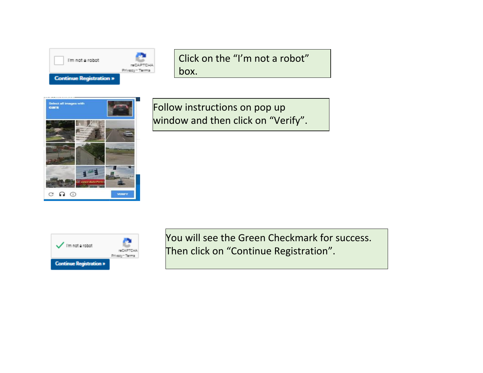

Click on the "I'm not a robot" box.



Follow instructions on pop up window and then click on "Verify".



You will see the Green Checkmark for success. Then click on "Continue Registration".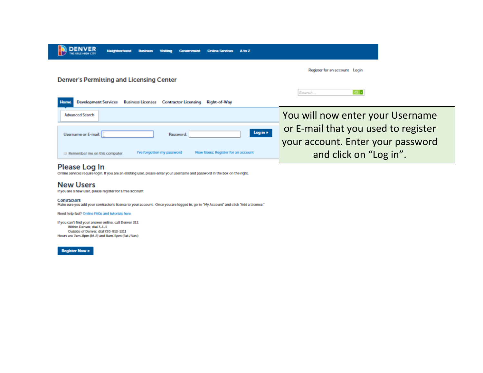| <b>Neighborhood</b><br><b>Business</b><br>Government<br>A to Z<br><b>Online Services</b><br>Visitina                  |                                     |  |  |  |  |
|-----------------------------------------------------------------------------------------------------------------------|-------------------------------------|--|--|--|--|
|                                                                                                                       | Register for an account Login       |  |  |  |  |
| <b>Denver's Permitting and Licensing Center</b>                                                                       |                                     |  |  |  |  |
| <b>Development Services</b><br><b>Home</b><br><b>Business Licenses</b><br><b>Contractor Licensing</b><br>Right-of-Way | $\alpha$ .<br>Search                |  |  |  |  |
| <b>Advanced Search</b>                                                                                                | You will now enter your Username    |  |  |  |  |
| Log in »<br>Username or E-mail:<br>Password:                                                                          | or E-mail that you used to register |  |  |  |  |
|                                                                                                                       | your account. Enter your password   |  |  |  |  |
| New Users: Register for an account<br>I've forgotten my password<br>Remember me on this computer                      | and click on "Log in".              |  |  |  |  |

Please Log In<br>Online services require login. If you are an existing user, please enter your username and password in the box on the right.

# **New Users**

If you are a new user, please register for a free account.

#### Contractors

During the street of the contractor's license to your account. Once you are logged in, go to "My Account" and click "Add a License."

#### Need help fast? Online FAQs and tutorials here.

If you can't find your answer online, call Denver 311: Within Denver, dial 3-1-1 Outside of Denver, dial 720-913-1311 Hours are 7am-8pm (M-F) and 8am-5pm (Sat./Sun.).

**Register Now »**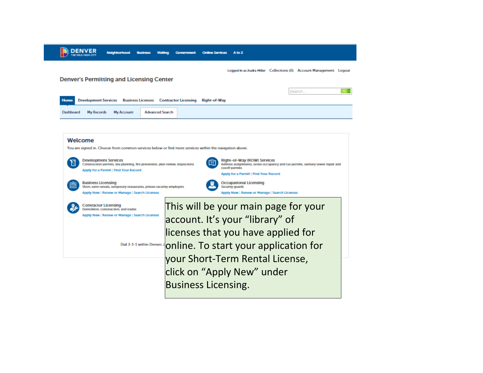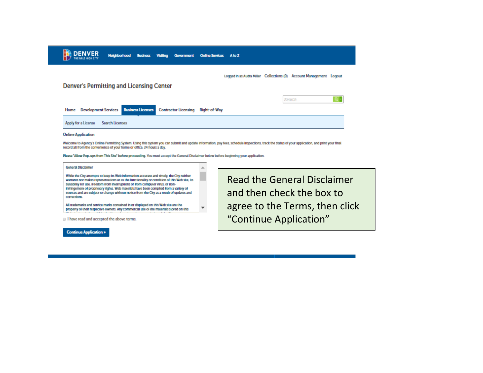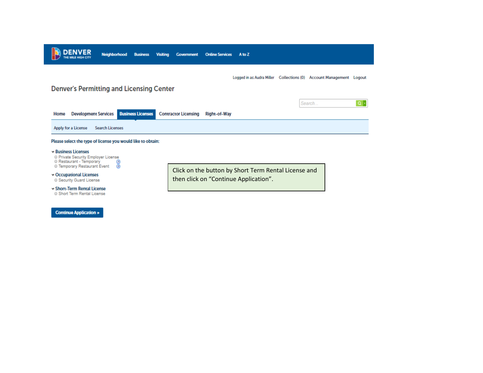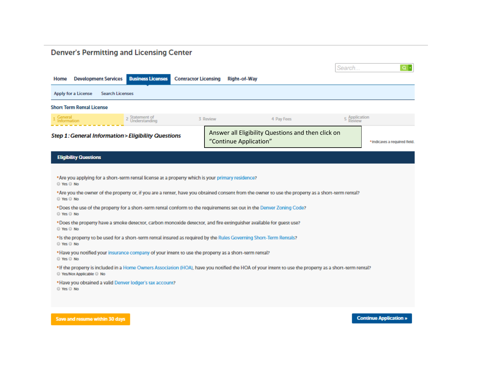# **Denver's Permitting and Licensing Center**

|                                                      |                                  |                             |                                                                                                      |                             |                        |                                                                                                                                                                                                                                                                                                                                                                                                | Search        | $Q +$                         |
|------------------------------------------------------|----------------------------------|-----------------------------|------------------------------------------------------------------------------------------------------|-----------------------------|------------------------|------------------------------------------------------------------------------------------------------------------------------------------------------------------------------------------------------------------------------------------------------------------------------------------------------------------------------------------------------------------------------------------------|---------------|-------------------------------|
| Home                                                 |                                  | <b>Development Services</b> | <b>Business Licenses</b>                                                                             | <b>Contractor Licensing</b> | <b>Right-of-Way</b>    |                                                                                                                                                                                                                                                                                                                                                                                                |               |                               |
|                                                      | Apply for a License              | <b>Search Licenses</b>      |                                                                                                      |                             |                        |                                                                                                                                                                                                                                                                                                                                                                                                |               |                               |
|                                                      | <b>Short Term Rental License</b> |                             |                                                                                                      |                             |                        |                                                                                                                                                                                                                                                                                                                                                                                                |               |                               |
| General                                              | Information                      |                             | 2 Statement of<br>Understanding                                                                      |                             | 3 Review               | 4 Pay Fees                                                                                                                                                                                                                                                                                                                                                                                     | 5 Application |                               |
|                                                      |                                  |                             | Step 1: General Information > Eligibility Questions                                                  |                             | "Continue Application" | Answer all Eligibility Questions and then click on                                                                                                                                                                                                                                                                                                                                             |               | * Indicates a required field. |
|                                                      | <b>Eligibility Questions</b>     |                             |                                                                                                      |                             |                        |                                                                                                                                                                                                                                                                                                                                                                                                |               |                               |
| O Yes O No<br>© Yes © No<br>O Yes O No<br>O Yes O No |                                  |                             | *Are you applying for a short-term rental license at a property which is your primary residence?     |                             |                        | *Are you the owner of the property or, if you are a renter, have you obtained consent from the owner to use the property as a short-term rental?<br>*Does the use of the property for a short-term rental conform to the requirements set out in the Denver Zoning Code?<br>*Does the property have a smoke detector, carbon monoxide detector, and fire extinguisher available for guest use? |               |                               |
| © Yes © No                                           |                                  |                             | *Have you notified your insurance company of your intent to use the property as a short-term rental? |                             |                        | * Is the property to be used for a short-term rental insured as required by the Rules Governing Short-Term Rentals?                                                                                                                                                                                                                                                                            |               |                               |
| © Yes © No                                           | O Yes/Not Applicable O No        |                             |                                                                                                      |                             |                        | *If the property is included in a Home Owners Association (HOA), have you notified the HOA of your intent to use the property as a short-term rental?                                                                                                                                                                                                                                          |               |                               |
| © Yes © No                                           |                                  |                             | *Have you obtained a valid Denver lodger's tax account?                                              |                             |                        |                                                                                                                                                                                                                                                                                                                                                                                                |               |                               |

Save and resume within 30 days

**Continue Application »**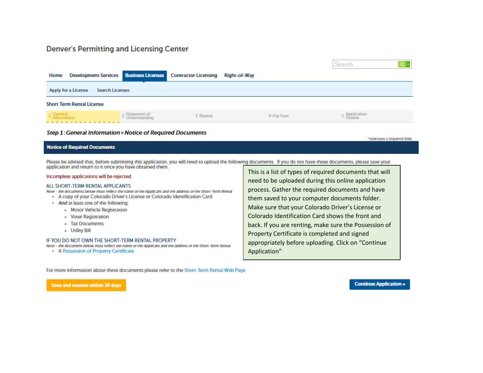# **Denver's Permitting and Licensing Center**

|                                                                                             |                                 |                             |                     | Search        |  |  |
|---------------------------------------------------------------------------------------------|---------------------------------|-----------------------------|---------------------|---------------|--|--|
| <b>Development Services Business Licenses</b><br>Home                                       |                                 | <b>Contractor Licensing</b> | <b>Right-of-Way</b> |               |  |  |
| Apply for a License<br><b>Search Licenses</b>                                               |                                 |                             |                     |               |  |  |
| <b>Short Term Rental License</b>                                                            |                                 |                             |                     |               |  |  |
| 1 General<br>1 Information                                                                  | 2 Statement of<br>Understanding | 3 Review                    | 4 Pay Fees          | 5 Application |  |  |
| Step 1: General Information > Notice of Required Documents<br>* Indicates a required field. |                                 |                             |                     |               |  |  |

# **Notice of Required Documents**

Please be advised that, before submitting this application, you will need to upload the following documents. If you do not have these documents, please save your application and return to it once you have obtained them.

#### Incomplete applications will be rejected.

#### ALL SHORT-TERM RENTAL APPLICANTS

- Note the documents below must reflect the name of the Applicant and the address of the Short-Term Rental
	- . A copy of your Colorado Driver's License or Colorado Identification Card
	- . And at least one of the following:
		- Motor Vehicle Registration
		- Voter Registration
		- Tax Documents
		- Utility Bill

#### IF YOU DO NOT OWN THE SHORT-TERM RENTAL PROPERTY

Note - the document below must reflect the name of the Applicant and the address of the Short-Term Rental

• A Possession of Property Certificate

This is a list of types of required documents that will need to be uploaded during this online application process. Gather the required documents and have them saved to your computer documents folder. Make sure that your Colorado Driver's License or Colorado Identification Card shows the front and back. If you are renting, make sure the Possession of Property Certificate is completed and signed appropriately before uploading. Click on "Continue Application"

For more information about these documents please refer to the Short-Term Rental Web Page

Save and resume within 30 days

**Continue Application »**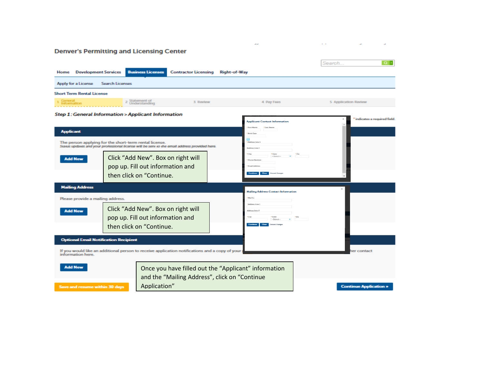$\mathcal{L}(\mathcal{A})$  $\sim$ **Denver's Permitting and Licensing Center**  $Q \rightarrow$ Search... Home Development Services Business Licenses **Contractor Licensing Right-of-Way** Apply for a License Search Licenses **Short Term Rental License** 2 Statement of<br>Understanding 3 Review 4 Pay Fees 5 Application Review Step 1: General Information > Applicant Information indicates a required field. **Applicant Contact Information Applicant Birth Date** The person applying for the short-term rental license. Status updates and your professional license will be sent to the email address provided here. Click "Add New". Box on right will **Add New** pop up. Fill out information and mod Ark then click on "Continue. **Mailing Address Mailing Address Contact Information** Mail To Please provide a mailing address. Address Line 1 Click "Add New". Box on right will **Add New** Address Line 2 pop up. Fill out information and ·City then click on "Continue. Continue Clear **Optional Email Notification Recipient** If you would like an additional person to receive application notifications and a copy of your<br>information here. er contact **Add New** Once you have filled out the "Applicant" information and the "Mailing Address", click on "Continue Application"Save and resume within 30 days **Continue Application »**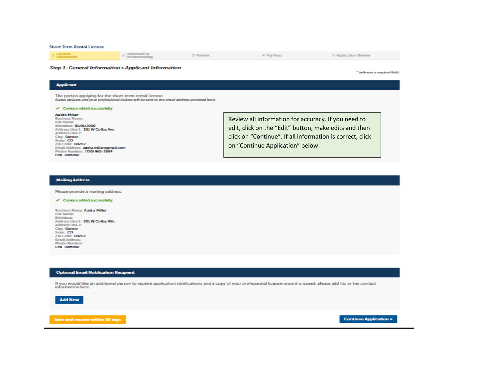**Short Term Rental License** 

| 1 General<br>Information<br>------------------------- | - Statement of<br>Understanding | 3 Review | 4 Pay Fees | 5 Application Review |
|-------------------------------------------------------|---------------------------------|----------|------------|----------------------|
|                                                       |                                 |          |            |                      |

#### **Step 1: General Information > Applicant Information**

\* indicates a required field.

The person applying for the short-term rental license.<br>Seaus updates and your professional license will be sent to the email address provided here.

#### Consact added successfully.

#### **Audra Miller**

**Applicant** 

**Business Name: Full Name:** Birthdate: 01/01/2000 Address Line 1: 201 W Collax Ave **Address Line 2:** City: Denver State: CO Zip Code: 80202 Email Address: audra miller@gmail.com Phone Number: (720) 865-2684 **Edit Remove** 

Review all information for accuracy. If you need to edit, click on the "Edit" button, make edits and then click on "Continue". If all information is correct, click on "Continue Application" below.

#### **Mailing Address**

Please provide a mailing address.

#### Consact added successfully.

**Business Name: Audra Miller Full Name:** Birthdate: Address Line 1: 201 W Collax AVe Address Line 2: City: Derwer State: CO Zip Code: 80202 **Email Address: Phone Number: Edit Remove** 

#### **Optional Email Notification Recipient**

If you would like an additional person to receive application notifications and a copy of your professional license once it is issued, please add his or her contact information here.

**Add New** 

Save and resume within 30 days

**Continue Application >**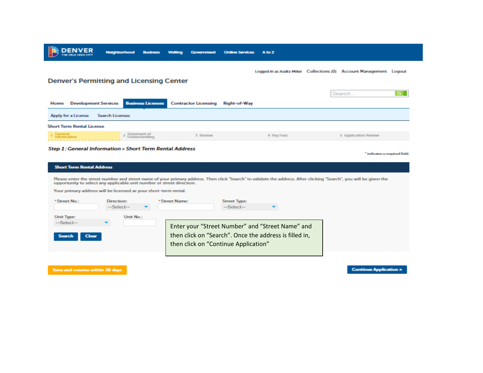

#### Step 1: General Information > Short Term Rental Address

**Short Term Rental Address** Please enter the street number and street name of your primary address. Then click "Search" to validate the address. After clicking "Search", you will be given the opportunity to select any applicable unit number or street direction. Your primary address will be licensed as your short-term rental. \*Street No.: Direction: \*Street Name: **Street Type:** --Select----Select-- $\overline{\phantom{a}}$  $\overline{\phantom{a}}$ **Unit Type:** Unit No.: --Select--Enter your "Street Number" and "Street Name" and then click on "Search". Once the address is filled in, **Search** Clear then click on "Continue Application"

Save and resume within 30 days

**Continue Application >** 

\* indicates a required field.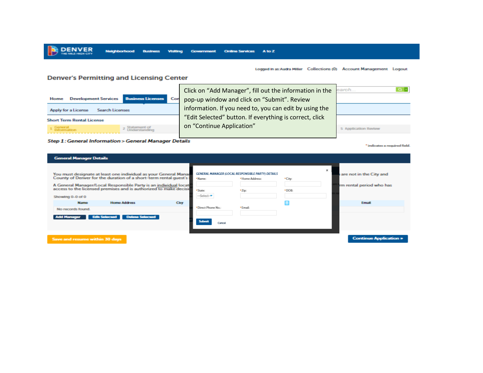Logged in as:Audra Miller Collections (0) Account Management Logout

## **Denver's Permitting and Licensing Center**

|                                        |                                 | Click on "Add Manager", fill out the information in the | earch                |
|----------------------------------------|---------------------------------|---------------------------------------------------------|----------------------|
| <b>Development Services</b><br>Home    | <b>Business Licenses</b><br>Con | pop-up window and click on "Submit". Review             |                      |
| Apply for a License<br>Search Licenses |                                 | information. If you need to, you can edit by using the  |                      |
| <b>Short Term Rental License</b>       |                                 | "Edit Selected" button. If everything is correct, click |                      |
| 1 General<br>1 Information             |                                 | on "Continue Application"                               | 5 Application Review |
|                                        |                                 |                                                         |                      |

Neighborhood Business Visiting Government Online Services A to Z

#### Step 1: General Information > General Manager Details

\* indicates a required field.

| <b>General Manager Details</b>                                                                                                                                                                                                                                                                   |      |                                                                                     |                           |                 |                                                                 |
|--------------------------------------------------------------------------------------------------------------------------------------------------------------------------------------------------------------------------------------------------------------------------------------------------|------|-------------------------------------------------------------------------------------|---------------------------|-----------------|-----------------------------------------------------------------|
| You must designate at least one individual as your General Manag<br>County of Denver for the duration of a short-term rental quest's<br>A General Manager/Local Responsible Party is an individual locat<br>access to the licensed premises and is authorized to make decisi<br>Showing 0-0 of 0 |      | GENERAL MANAGER (LOCAL RESPONSIBLE PARTY) DETAILS<br>*Name:<br>*State:<br>--Select- | * Home Address:<br>* Zipc | *City:<br>*DOB: | $\times$<br>are not in the City and<br>rm rental period who has |
| <b>Home Address</b><br><b>Name</b><br>No records found.<br><b>Dolota Solocted</b><br><b>Edit Solected</b>                                                                                                                                                                                        | City | *Direct Phone No.:<br>Submit                                                        | * Email:                  |                 | Email                                                           |
| Save and resume within 30 days                                                                                                                                                                                                                                                                   |      | Cancel                                                                              |                           |                 | <b>Continue Application &gt;</b>                                |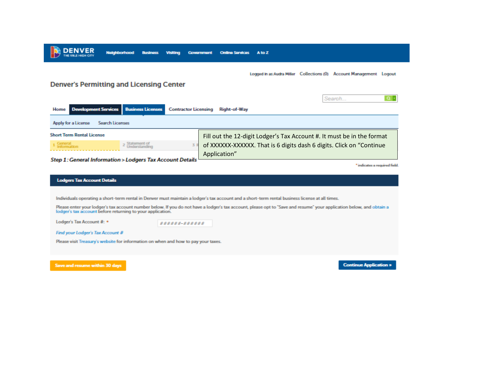

Lodger's Tax Account #: \*

######~#######

Find your Lodger's Tax Account #

Please visit Treasury's website for information on when and how to pay your taxes.

Save and resume within 30 days

**Continue Application »**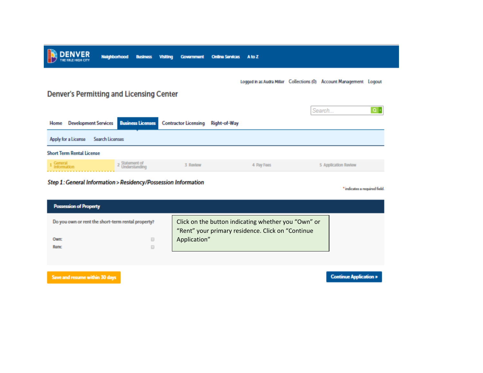

Step 1: General Information > Residency/Possession Information

\* indicates a required field.

| <b>Possession of Property</b>                      |                                                                                                          |
|----------------------------------------------------|----------------------------------------------------------------------------------------------------------|
| Do you own or rent the short-term rental property? | Click on the button indicating whether you "Own" or<br>"Rent" your primary residence. Click on "Continue |
| <b>Own:</b>                                        | Application"                                                                                             |
| <b>Rent:</b>                                       |                                                                                                          |

Save and resume within 30 days

**Continue Application »**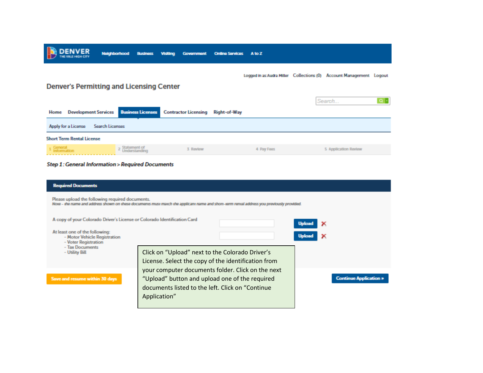

### **Step 1: General Information > Required Documents**

| <b>Required Documents</b>                                                                                                                                                                    |                                                     |                                                   |  |                               |  |  |
|----------------------------------------------------------------------------------------------------------------------------------------------------------------------------------------------|-----------------------------------------------------|---------------------------------------------------|--|-------------------------------|--|--|
| Please upload the following required documents.<br>Note - the name and address shown on these documents must match the applicant name and short-term rental address you previously provided. |                                                     |                                                   |  |                               |  |  |
| A copy of your Colorado Driver's License or Colorado Identification Card                                                                                                                     |                                                     |                                                   |  |                               |  |  |
| At least one of the following:<br>- Motor Vehicle Registration<br>- Voter Registration                                                                                                       |                                                     |                                                   |  |                               |  |  |
| - Tax Documents<br>- Utility Bill                                                                                                                                                            | Click on "Upload" next to the Colorado Driver's     |                                                   |  |                               |  |  |
|                                                                                                                                                                                              | License. Select the copy of the identification from |                                                   |  |                               |  |  |
|                                                                                                                                                                                              |                                                     | your computer documents folder. Click on the next |  |                               |  |  |
| Save and resume within 30 days                                                                                                                                                               | "Upload" button and upload one of the required      |                                                   |  | <b>Continue Application »</b> |  |  |
|                                                                                                                                                                                              | documents listed to the left. Click on "Continue"   |                                                   |  |                               |  |  |
|                                                                                                                                                                                              | Application"                                        |                                                   |  |                               |  |  |
|                                                                                                                                                                                              |                                                     |                                                   |  |                               |  |  |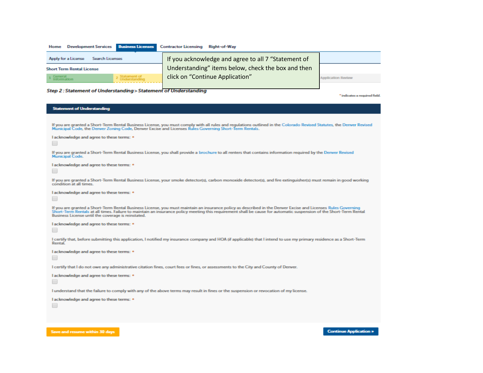| Development Services Business Licenses Contractor Licensing Right-of-Way<br>Home |                                                     |                           |
|----------------------------------------------------------------------------------|-----------------------------------------------------|---------------------------|
| Apply for a License<br>Search Licenses                                           | If you acknowledge and agree to all 7 "Statement of |                           |
| <b>Short Term Rental License</b>                                                 | Understanding" items below, check the box and then  |                           |
| 2 Statement of<br>Understanding<br>1 General<br>1 Information                    | click on "Continue Application"                     | <b>Application Review</b> |
|                                                                                  |                                                     |                           |

# Step 2 : Statement of Understanding > Statement of Understanding

\* indicates a required field.

**Continue Application »** 

### **Statement of Understanding**

Save and resume within 30 days

| If you are granted a Short-Term Rental Business License, you must comply with all rules and regulations outlined in the Colorado Revised Statutes, the Denver Revised<br>Municipal Code, the Denver Zoning Code, Denver Excise and Licenses Rules Governing Short-Term Rentals.                                                                                                           |
|-------------------------------------------------------------------------------------------------------------------------------------------------------------------------------------------------------------------------------------------------------------------------------------------------------------------------------------------------------------------------------------------|
| I acknowledge and agree to these terms: *                                                                                                                                                                                                                                                                                                                                                 |
| If you are granted a Short-Term Rental Business License, you shall provide a brochure to all renters that contains information required by the Denver Revised<br>Municipal Code.                                                                                                                                                                                                          |
| I acknowledge and agree to these terms: *                                                                                                                                                                                                                                                                                                                                                 |
| If you are granted a Short-Term Rental Business License, your smoke detector(s), carbon monoxide detector(s), and fire extinguisher(s) must remain in good working<br>condition at all times.                                                                                                                                                                                             |
| I acknowledge and agree to these terms: *                                                                                                                                                                                                                                                                                                                                                 |
| If you are granted a Short-Term Rental Business License, you must maintain an insurance policy as described in the Denver Excise and Licenses Rules Governing<br>Short-Term Rentals at all times. Failure to maintain an insurance policy meeting this requirement shall be cause for automatic suspension of the Short-Term Rental<br>Business License until the coverage is reinstated. |
| I acknowledge and agree to these terms: *                                                                                                                                                                                                                                                                                                                                                 |
| I certify that, before submitting this application, I notified my insurance company and HOA (if applicable) that I intend to use my primary residence as a Short-Term<br>Rental                                                                                                                                                                                                           |
| I acknowledge and agree to these terms: *                                                                                                                                                                                                                                                                                                                                                 |
| I certify that I do not owe any administrative citation fines, court fees or fines, or assessments to the City and County of Denver.                                                                                                                                                                                                                                                      |
| I acknowledge and agree to these terms: *                                                                                                                                                                                                                                                                                                                                                 |
| I understand that the failure to comply with any of the above terms may result in fines or the suspension or revocation of my license.                                                                                                                                                                                                                                                    |
| I acknowledge and agree to these terms: *                                                                                                                                                                                                                                                                                                                                                 |
|                                                                                                                                                                                                                                                                                                                                                                                           |
|                                                                                                                                                                                                                                                                                                                                                                                           |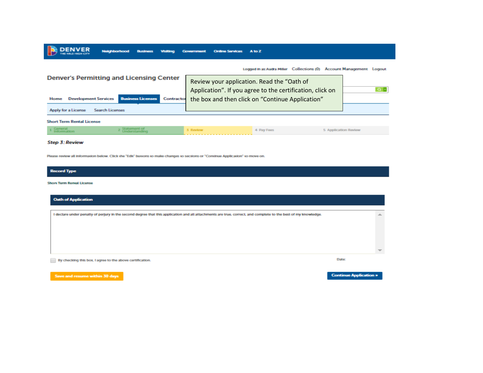|                                                 | <b>Neighborhood</b>         | <b>Business</b>          | <b>Visiting</b> | Government | <b>Online Services</b> | A to Z                                           |                                                              |                      |
|-------------------------------------------------|-----------------------------|--------------------------|-----------------|------------|------------------------|--------------------------------------------------|--------------------------------------------------------------|----------------------|
| <b>Denver's Permitting and Licensing Center</b> |                             |                          |                 |            |                        |                                                  | Logged in as:Audra Miller Collections (0) Account Management | Logout               |
|                                                 |                             |                          |                 |            |                        | Review your application. Read the "Oath of       | Application". If you agree to the certification, click on    | $\alpha$ .           |
| Home                                            | <b>Development Services</b> | <b>Business Licenses</b> | Contractor      |            |                        | the box and then click on "Continue Application" |                                                              |                      |
| Apply for a License                             | Search Licenses             |                          |                 |            |                        |                                                  |                                                              |                      |
| <b>Short Term Rental License</b>                |                             |                          |                 |            |                        |                                                  |                                                              |                      |
| General<br>Information                          |                             |                          |                 | 3 Review   |                        | 4 Pay Fees                                       |                                                              | 5 Application Review |

**Step 3: Review** 

Please review all information below. Click the "Edit" buttons to make changes to sections or "Continue Application" to move on.

# **Record Type**

#### **Short Term Rental License**

| <b>Oath of Application</b>                                                                                                                                     |                          |
|----------------------------------------------------------------------------------------------------------------------------------------------------------------|--------------------------|
| I declare under penalty of perjury in the second degree that this application and all attachments are true, correct, and complete to the best of my knowledge. | A.                       |
|                                                                                                                                                                |                          |
|                                                                                                                                                                |                          |
|                                                                                                                                                                |                          |
|                                                                                                                                                                | $\overline{\phantom{a}}$ |
| By checking this box, I agree to the above certification.                                                                                                      | Date:                    |

Save and resume within 30 days

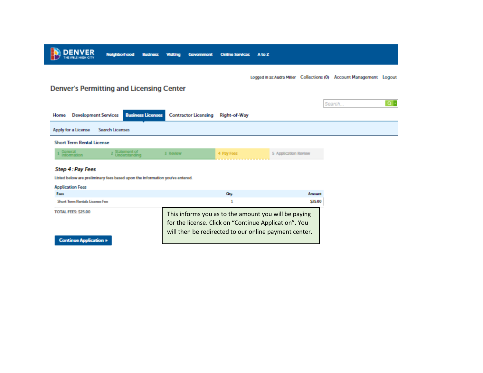

Logged in as:Audra Miller Collections (0) Account Management Logout

# **Denver's Permitting and Licensing Center**

|      |                                  |                                 |                                                             |              |                      | Search | $\alpha$ . |
|------|----------------------------------|---------------------------------|-------------------------------------------------------------|--------------|----------------------|--------|------------|
| Home |                                  |                                 | Development Services Business Licenses Contractor Licensing | Right-of-Way |                      |        |            |
|      | Apply for a License              | Search Licenses                 |                                                             |              |                      |        |            |
|      | <b>Short Term Rental License</b> |                                 |                                                             |              |                      |        |            |
|      | General<br>Information           | 2 Statement of<br>Understanding | 3 Review                                                    | 4 Pay Fees   | 5 Application Review |        |            |
|      | Step 4: Pay Fees                 |                                 |                                                             |              |                      |        |            |

Listed below are preliminary fees based upon the information you've entered.

#### **Application Fees**

| Feex                             |                                                                                                                                                                        | Arrest in |
|----------------------------------|------------------------------------------------------------------------------------------------------------------------------------------------------------------------|-----------|
| Short Term Rentals License Fee   |                                                                                                                                                                        | \$25.00   |
| TOTAL FEES: \$25.00              | This informs you as to the amount you will be paying<br>for the license. Click on "Continue Application". You<br>will then be redirected to our online payment center. |           |
| <b>Continue Application &gt;</b> |                                                                                                                                                                        |           |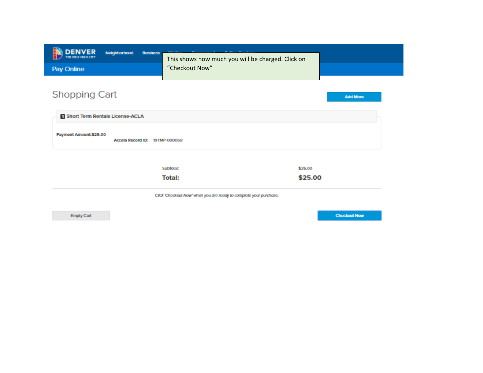| This shows how much you will be charged. Click on                  |                                                                                           |
|--------------------------------------------------------------------|-------------------------------------------------------------------------------------------|
|                                                                    |                                                                                           |
| "Checkout Now"                                                     |                                                                                           |
|                                                                    |                                                                                           |
|                                                                    |                                                                                           |
|                                                                    | <b>Add More</b>                                                                           |
|                                                                    |                                                                                           |
|                                                                    |                                                                                           |
|                                                                    |                                                                                           |
|                                                                    |                                                                                           |
|                                                                    |                                                                                           |
|                                                                    |                                                                                           |
|                                                                    |                                                                                           |
| Click 'Checkout Now' when you are ready to complete your purchase. |                                                                                           |
|                                                                    | Accela Record ID: 19TMP-000058<br>\$25.00<br><b>SubTotal:</b><br>\$25.00<br><b>Total:</b> |

Empty Cart

**Checkout Now**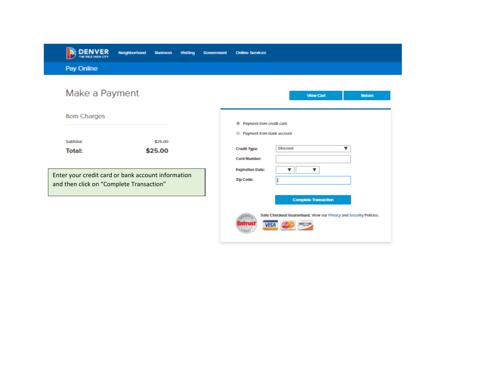| <b>DENVER</b><br>THE MILE HIGH CITY                                                            | Neighborhood<br><b>Business</b> | <b>Visiting</b> | Government | <b>Online Services</b>                                                                                       |
|------------------------------------------------------------------------------------------------|---------------------------------|-----------------|------------|--------------------------------------------------------------------------------------------------------------|
| Pay Online                                                                                     |                                 |                 |            |                                                                                                              |
| Make a Payment                                                                                 |                                 |                 |            | <b>View Cart</b><br><b>Return</b>                                                                            |
| Item Charges                                                                                   |                                 |                 |            | <sup>®</sup> Payment from credit card                                                                        |
| <b>SubTotal:</b><br><b>Total:</b>                                                              | \$25.00<br>\$25.00              |                 |            | <sup>©</sup> Payment from bank account<br><b>Discover</b><br>▼<br><b>Credit Type:</b><br><b>Card Number:</b> |
| Enter your credit card or bank account information<br>and then click on "Complete Transaction" |                                 |                 |            | <b>Expiration Date:</b><br>▼<br><b>Zip Code:</b>                                                             |

Safe Checkout Guaranteed. View our Privacy and Security Policies.

DISCOVER

**VISA**